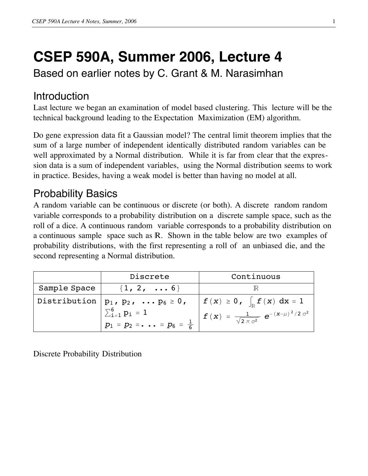# **CSEP 590A, Summer 2006, Lecture 4**

Based on earlier notes by C. Grant & M. Narasimhan

## Introduction

Last lecture we began an examination of model based clustering. This lecture will be the technical background leading to the Expectation Maximization (EM) algorithm.

Do gene expression data fit a Gaussian model? The central limit theorem implies that the sum of a large number of independent identically distributed random variables can be well approximated by a Normal distribution. While it is far from clear that the expression data is a sum of independent variables, using the Normal distribution seems to work in practice. Besides, having a weak model is better than having no model at all.

# Probability Basics

A random variable can be continuous or discrete (or both). A discrete random random variable corresponds to a probability distribution on a discrete sample space, such as the roll of a dice. A continuous random variable corresponds to a probability distribution on a continuous sample space such as  $\mathbb R$ . Shown in the table below are two examples of probability distributions, with the first representing a roll of an unbiased die, and the second representing a Normal distribution.

|              | Discrete                                                                                             | Continuous                                                                                                                                                 |
|--------------|------------------------------------------------------------------------------------------------------|------------------------------------------------------------------------------------------------------------------------------------------------------------|
| Sample Space | $\{1, 2, \ldots 6\}$                                                                                 |                                                                                                                                                            |
| Distribution | $p_1, p_2, \ldots p_6 \ge 0,$<br>$\sum_{i=1}^{6} p_i = 1$<br>$p_1 = p_2 = \dots = p_6 = \frac{1}{6}$ | $\left  \begin{array}{c} f(x) \geq 0, \end{array} \right _{{\mathbb R}} f(x) dx = 1$<br>$f(x) = \frac{1}{\sqrt{2 \pi \sigma^2}} e^{-(x-\mu)^2/2 \sigma^2}$ |

Discrete Probability Distribution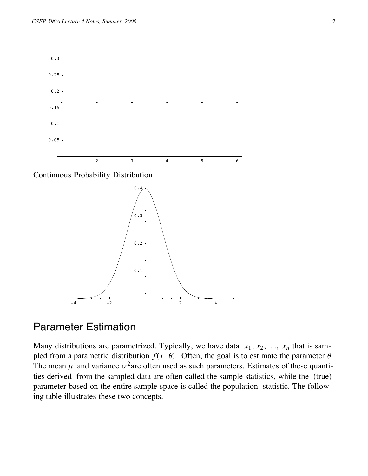



## Parameter Estimation

Many distributions are parametrized. Typically, we have data  $x_1, x_2, ..., x_n$  that is sampled from a parametric distribution  $f(x | \theta)$ . Often, the goal is to estimate the parameter  $\theta$ . The mean  $\mu$  and variance  $\sigma^2$  are often used as such parameters. Estimates of these quantities derived from the sampled data are often called the sample statistics, while the (true) parameter based on the entire sample space is called the population statistic. The following table illustrates these two concepts.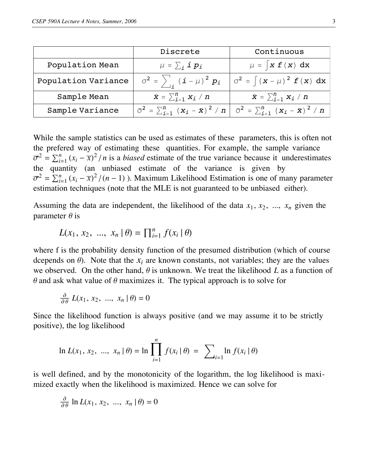|                 | Discrete                           | Continuous                                                                                                             |
|-----------------|------------------------------------|------------------------------------------------------------------------------------------------------------------------|
| Population Mean | $\mu = \sum_i \mathbf{i} p_i$      | $\mu = \int x f(x) dx$                                                                                                 |
|                 |                                    | Population Variance $\begin{vmatrix} \sigma^2 = \end{vmatrix}$ $(i - \mu)^2 p_i$ $\sigma^2 = \int (x - \mu)^2 f(x) dx$ |
| Sample Mean     | $\bar{x} = \sum_{i=1}^{n} x_i / n$ | $\bar{x} = \sum_{i=1}^{n} x_i / n$                                                                                     |
| Sample Variance |                                    | $\sigma^2 = \sum_{i=1}^n (x_i - \bar{x})^2 / n \mid \sigma^2 = \sum_{i=1}^n (x_i - \bar{x})^2 / n$                     |

While the sample statistics can be used as estimates of these parameters, this is often not the prefered way of estimating these quantities. For example, the sample variance  $\overline{\sigma}^2 = \sum_{i=1}^n (x_i - \overline{x})$  $(2)^2/n$  is a *biased* estimate of the true variance because it underestimates the quantity (an unbiased estimate of the variance is given by  $\overline{\sigma}^2 = \sum_{i=1}^n (x_i - \overline{x})$  $\int_{0}^{2} / (n-1)$ ). Maximum Likelihood Estimation is one of many parameter estimation techniques (note that the MLE is not guaranteed to be unbiased either).

Assuming the data are independent, the likelihood of the data  $x_1, x_2, \ldots, x_n$  given the parameter  $\theta$  is

$$
L(x_1, x_2, ..., x_n | \theta) = \prod_{i=1}^n f(x_i | \theta)
$$

where f is the probability density function of the presumed distribution (which of course dcepends on  $\theta$ ). Note that the  $x_i$  are known constants, not variables; they are the values we observed. On the other hand,  $\theta$  is unknown. We treat the likelihood *L* as a function of  $\theta$  and ask what value of  $\theta$  maximizes it. The typical approach is to solve for

$$
\frac{\partial}{\partial \theta} L(x_1, x_2, \dots, x_n | \theta) = 0
$$

Since the likelihood function is always positive (and we may assume it to be strictly positive), the log likelihood

$$
\ln L(x_1, x_2, ..., x_n | \theta) = \ln \prod_{i=1}^n f(x_i | \theta) = \sum_{i=1}^n \ln f(x_i | \theta)
$$

is well defined, and by the monotonicity of the logarithm, the log likelihood is maximized exactly when the likelihood is maximized. Hence we can solve for

$$
\frac{\partial}{\partial \theta} \ln L(x_1, x_2, \dots, x_n | \theta) = 0
$$

Note that in general, these conditions are statisfied by maxima, minima and stationary points of the log-likelihood function. (A "stationary point" is a temporary flat spot on a curve that otherwise tends upward or downward.) Further, if  $\theta$  is restricted to be in some bounded range, then maxima might occur at the boundary which does not satisfy this condition. Therefore, we need to check the boundaries separately. Here is an example which illustrates this procedure.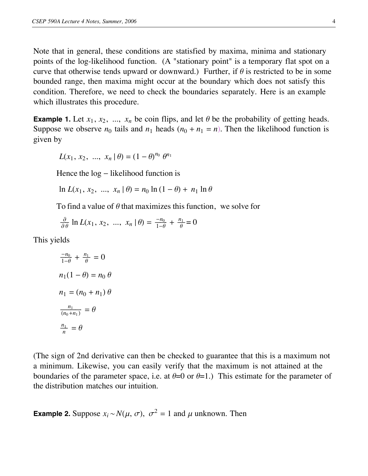Note that in general, these conditions are statisfied by maxima, minima and stationary points of the log-likelihood function. (A "stationary point" is a temporary flat spot on a curve that otherwise tends upward or downward.) Further, if  $\theta$  is restricted to be in some bounded range, then maxima might occur at the boundary which does not satisfy this condition. Therefore, we need to check the boundaries separately. Here is an example which illustrates this procedure.

**Example 1.** Let  $x_1, x_2, \ldots, x_n$  be coin flips, and let  $\theta$  be the probability of getting heads. Suppose we observe  $n_0$  tails and  $n_1$  heads  $(n_0 + n_1 = n)$ . Then the likelihood function is given by

$$
L(x_1, x_2, ..., x_n | \theta) = (1 - \theta)^{n_0} \theta^{n_1}
$$

Hence the  $log$  – likelihood function is

 $\ln L(x_1, x_2, ..., x_n | \theta) = n_0 \ln (1 - \theta) + n_1 \ln \theta$ 

To find a value of  $\theta$  that maximizes this function, we solve for

$$
\frac{\partial}{\partial \theta} \ln L(x_1, x_2, \dots, x_n | \theta) = \frac{-n_0}{1 - \theta} + \frac{n_1}{\theta} = 0
$$

This yields

$$
\frac{-n_0}{1-\theta} + \frac{n_1}{\theta} = 0
$$
  

$$
n_1(1-\theta) = n_0 \theta
$$
  

$$
n_1 = (n_0 + n_1) \theta
$$
  

$$
\frac{n_1}{(n_0 + n_1)} = \theta
$$
  

$$
\frac{n_1}{n} = \theta
$$

(The sign of 2nd derivative can then be checked to guarantee that this is a maximum not a minimum. Likewise, you can easily verify that the maximum is not attained at the boundaries of the parameter space, i.e. at  $\theta=0$  or  $\theta=1$ .) This estimate for the parameter of the distribution matches our intuition.

**Example 2.** Suppose  $x_i \sim N(\mu, \sigma)$ ,  $\sigma^2 = 1$  and  $\mu$  unknown. Then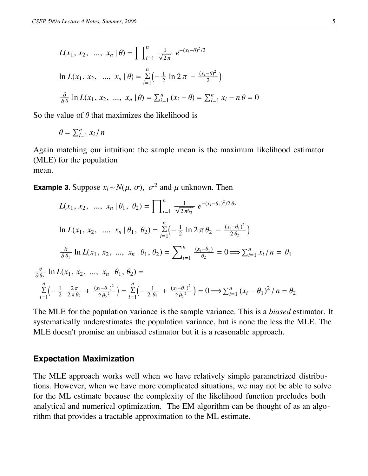$$
L(x_1, x_2, ..., x_n | \theta) = \prod_{i=1}^n \frac{1}{\sqrt{2\pi}} e^{-(x_i - \theta)^2/2}
$$
  

$$
\ln L(x_1, x_2, ..., x_n | \theta) = \sum_{i=1}^n \left(-\frac{1}{2} \ln 2 \pi - \frac{(x_i - \theta)^2}{2}\right)
$$
  

$$
\frac{\partial}{\partial \theta} \ln L(x_1, x_2, ..., x_n | \theta) = \sum_{i=1}^n (x_i - \theta) = \sum_{i=1}^n x_i - n\theta = 0
$$

So the value of  $\theta$  that maximizes the likelihood is

$$
\theta = \sum_{i=1}^n x_i / n
$$

Again matching our intuition: the sample mean is the maximum likelihood estimator (MLE) for the population mean.

**Example 3.** Suppose  $x_i \sim N(\mu, \sigma)$ ,  $\sigma^2$  and  $\mu$  unknown. Then

$$
L(x_1, x_2, ..., x_n | \theta_1, \theta_2) = \prod_{i=1}^n \frac{1}{\sqrt{2\pi\theta_2}} e^{-(x_i - \theta_1)^2/2\theta_2}
$$
  
\n
$$
\ln L(x_1, x_2, ..., x_n | \theta_1, \theta_2) = \sum_{i=1}^n \left(-\frac{1}{2} \ln 2 \pi \theta_2 - \frac{(x_i - \theta_1)^2}{2\theta_2}\right)
$$
  
\n
$$
\frac{\partial}{\partial \theta_1} \ln L(x_1, x_2, ..., x_n | \theta_1, \theta_2) = \sum_{i=1}^n \frac{(x_i - \theta_1)}{\theta_2} = 0 \implies \sum_{i=1}^n x_i / n = \theta_1
$$
  
\n
$$
\frac{\partial}{\partial \theta_2} \ln L(x_1, x_2, ..., x_n | \theta_1, \theta_2) =
$$
  
\n
$$
\sum_{i=1}^n \left(-\frac{1}{2} \frac{2\pi}{2\pi\theta_2} + \frac{(x_i - \theta_1)^2}{2\theta_2^2}\right) = \sum_{i=1}^n \left(-\frac{1}{2\theta_2} + \frac{(x_i - \theta_1)^2}{2\theta_2^2}\right) = 0 \implies \sum_{i=1}^n (x_i - \theta_1)^2 / n = \theta_2
$$

The MLE for the population variance is the sample variance. This is a *biased* estimator. It systematically underestimates the population variance, but is none the less the MLE. The MLE doesn't promise an unbiased estimator but it is a reasonable approach.

### **Expectation Maximization**

The MLE approach works well when we have relatively simple parametrized distributions. However, when we have more complicated situations, we may not be able to solve for the ML estimate because the complexity of the likelihood function precludes both analytical and numerical optimization. The EM algorithm can be thought of as an algorithm that provides a tractable approximation to the ML estimate.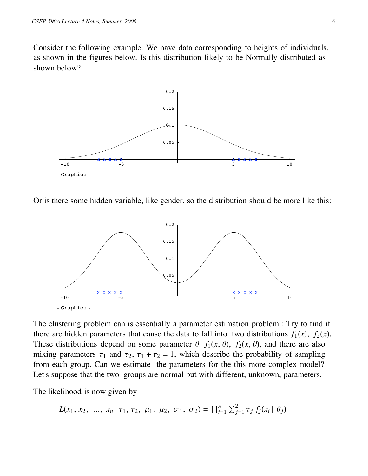Consider the following example. We have data corresponding to heights of individuals, as shown in the figures below. Is this distribution likely to be Normally distributed as shown below?



Or is there some hidden variable, like gender, so the distribution should be more like this:



The clustering problem can is essentially a parameter estimation problem : Try to find if there are hidden parameters that cause the data to fall into two distributions  $f_1(x)$ ,  $f_2(x)$ . These distributions depend on some parameter  $\theta$ :  $f_1(x, \theta)$ ,  $f_2(x, \theta)$ , and there are also mixing parameters  $\tau_1$  and  $\tau_2$ ,  $\tau_1 + \tau_2 = 1$ , which describe the probability of sampling from each group. Can we estimate the parameters for the this more complex model? Let's suppose that the two groups are normal but with different, unknown, parameters.

The likelihood is now given by

$$
L(x_1, x_2, ..., x_n | \tau_1, \tau_2, \mu_1, \mu_2, \sigma_1, \sigma_2) = \prod_{i=1}^n \sum_{j=1}^2 \tau_j f_j(x_i | \theta_j)
$$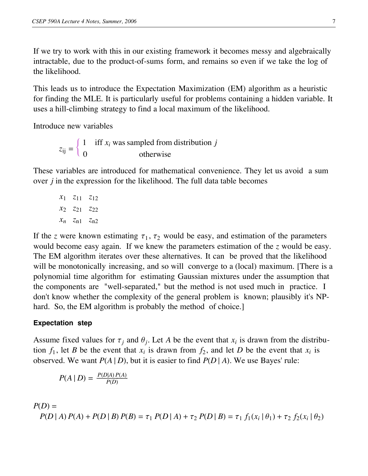If we try to work with this in our existing framework it becomes messy and algebraically intractable, due to the product-of-sums form, and remains so even if we take the log of the likelihood.

This leads us to introduce the Expectation Maximization (EM) algorithm as a heuristic for finding the MLE. It is particularly useful for problems containing a hidden variable. It uses a hill-climbing strategy to find a local maximum of the likelihood.

Introduce new variables

 $z_{ij} = \begin{cases} 1 \\ 0 \end{cases}$ iff *xi* was sampled from distribution *j* otherwise

These variables are introduced for mathematical convenience. They let us avoid a sum over *j* in the expression for the likelihood. The full data table becomes

*x*<sup>1</sup> *z*<sup>11</sup> *z*<sup>12</sup> *x*<sup>2</sup> *z*<sup>21</sup> *z*<sup>22</sup>  $x_n$   $z_{n1}$   $z_{n2}$ 

If the *z* were known estimating  $\tau_1$ ,  $\tau_2$  would be easy, and estimation of the parameters would become easy again. If we knew the parameters estimation of the *z* would be easy. The EM algorithm iterates over these alternatives. It can be proved that the likelihood will be monotonically increasing, and so will converge to a (local) maximum. [There is a polynomial time algorithm for estimating Gaussian mixtures under the assumption that the components are "well-separated," but the method is not used much in practice. I don't know whether the complexity of the general problem is known; plausibly it's NPhard. So, the EM algorithm is probably the method of choice.

## **Expectation step**

Assume fixed values for  $\tau_j$  and  $\theta_j$ . Let A be the event that  $x_i$  is drawn from the distribution  $f_1$ , let *B* be the event that  $x_i$  is drawn from  $f_2$ , and let *D* be the event that  $x_i$  is observed. We want  $P(A | D)$ , but it is easier to find  $P(D | A)$ . We use Bayes' rule:

$$
P(A | D) = \frac{P(D|A) P(A)}{P(D)}
$$

$$
P(D) = P(D | A) P(A) + P(D | B) P(B) = \tau_1 P(D | A) + \tau_2 P(D | B) = \tau_1 f_1(x_i | \theta_1) + \tau_2 f_2(x_i | \theta_2)
$$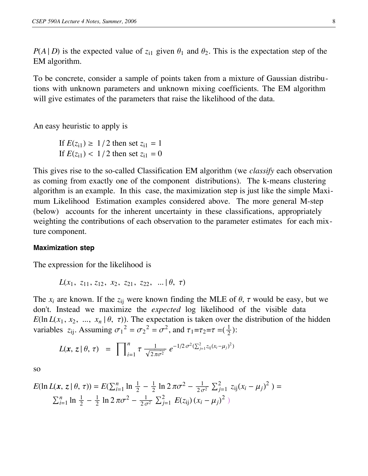$P(A | D)$  is the expected value of  $z_{i1}$  given  $\theta_1$  and  $\theta_2$ . This is the expectation step of the EM algorithm.

To be concrete, consider a sample of points taken from a mixture of Gaussian distributions with unknown parameters and unknown mixing coefficients. The EM algorithm will give estimates of the parameters that raise the likelihood of the data.

An easy heuristic to apply is

If  $E(z_{i1}) \geq 1/2$  then set  $z_{i1} = 1$ If  $E(z_{i1}) < 1/2$  then set  $z_{i1} = 0$ 

This gives rise to the so-called Classification EM algorithm (we *classify* each observation as coming from exactly one of the component distributions). The k-means clustering algorithm is an example. In this case, the maximization step is just like the simple Maximum Likelihood Estimation examples considered above. The more general M-step (below) accounts for the inherent uncertainty in these classifications, appropriately weighting the contributions of each observation to the parameter estimates for each mixture component.

#### **Maximization step**

The expression for the likelihood is

$$
L(x_1, z_{11}, z_{12}, x_2, z_{21}, z_{22}, \ldots | \theta, \tau)
$$

The  $x_i$  are known. If the  $z_{ij}$  were known finding the MLE of  $\theta$ ,  $\tau$  would be easy, but we don't. Instead we maximize the *expected* log likelihood of the visible data *E*(ln *L*( $x_1, x_2, ..., x_n$  |  $\theta$ ,  $\tau$ )). The expectation is taken over the distribution of the hidden variables  $z_{ij}$ . Assuming  $\sigma_1^2 = \sigma_2^2 = \sigma^2$ , and  $\tau_1 = \tau_2 = \tau = (\frac{1}{2})$ :

$$
L(\mathbf{x}, \, \mathbf{z} \, | \, \theta, \, \tau) = \prod_{i=1}^{n} \tau \, \frac{1}{\sqrt{2 \pi \sigma^2}} \, e^{-1/2 \, \sigma^2 (\sum_{j=1}^{2} z_{ij} (x_i - \mu_j)^2)}
$$

so

$$
E(\ln L(\mathbf{x}, z | \theta, \tau)) = E(\sum_{i=1}^{n} \ln \frac{1}{2} - \frac{1}{2} \ln 2 \pi \sigma^2 - \frac{1}{2 \sigma^2} \sum_{j=1}^{2} z_{ij} (x_i - \mu_j)^2) =
$$
  

$$
\sum_{i=1}^{n} \ln \frac{1}{2} - \frac{1}{2} \ln 2 \pi \sigma^2 - \frac{1}{2 \sigma^2} \sum_{j=1}^{2} E(z_{ij}) (x_i - \mu_j)^2)
$$

The last step above depends on the important fact that expectation is linear: if c and d are constants and X and Y are random variables, then  $E(cX+dY) = c E(X) + d E(Y)$ . We calculated  $E(z_{ij})$  in the previous step. We can now solve for the  $\mu_j$  that maximize the expectation by the methods given earlier: set derivatives to zero, etc. With a little more algebra you will see that the MLE for  $\mu_j$  is the *weighted* average of the  $x_i$ 's, where the weights are the  $E(z_{ii})$ 's, which makes sense intuitively: if a given point  $x_i$  has a high probability of having been sampled from distribution 1, then it will contribute strongly to our